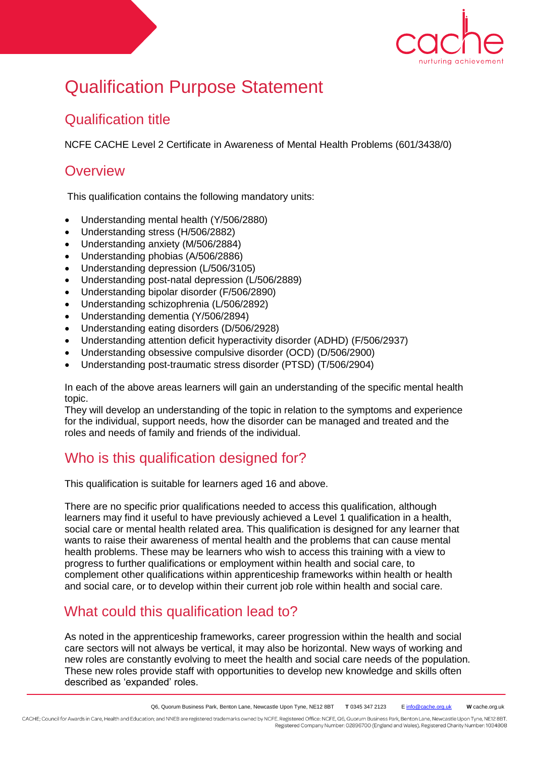

# Qualification Purpose Statement

## Qualification title

NCFE CACHE Level 2 Certificate in Awareness of Mental Health Problems (601/3438/0)

### **Overview**

This qualification contains the following mandatory units:

- Understanding mental health (Y/506/2880)
- Understanding stress (H/506/2882)
- Understanding anxiety (M/506/2884)
- Understanding phobias (A/506/2886)
- Understanding depression (L/506/3105)
- Understanding post-natal depression (L/506/2889)
- Understanding bipolar disorder (F/506/2890)
- Understanding schizophrenia (L/506/2892)
- Understanding dementia (Y/506/2894)
- Understanding eating disorders (D/506/2928)
- Understanding attention deficit hyperactivity disorder (ADHD) (F/506/2937)
- Understanding obsessive compulsive disorder (OCD) (D/506/2900)
- Understanding post-traumatic stress disorder (PTSD) (T/506/2904)

In each of the above areas learners will gain an understanding of the specific mental health topic.

They will develop an understanding of the topic in relation to the symptoms and experience for the individual, support needs, how the disorder can be managed and treated and the roles and needs of family and friends of the individual.

# Who is this qualification designed for?

This qualification is suitable for learners aged 16 and above.

There are no specific prior qualifications needed to access this qualification, although learners may find it useful to have previously achieved a Level 1 qualification in a health, social care or mental health related area. This qualification is designed for any learner that wants to raise their awareness of mental health and the problems that can cause mental health problems. These may be learners who wish to access this training with a view to progress to further qualifications or employment within health and social care, to complement other qualifications within apprenticeship frameworks within health or health and social care, or to develop within their current job role within health and social care.

# What could this qualification lead to?

As noted in the apprenticeship frameworks, career progression within the health and social care sectors will not always be vertical, it may also be horizontal. New ways of working and new roles are constantly evolving to meet the health and social care needs of the population. These new roles provide staff with opportunities to develop new knowledge and skills often described as 'expanded' roles.

CACHE; Council for Awards in Care, Health and Education; and NNEB are registered trademarks owned by NCFE. Registered Office: NCFE, Q6, Quorum Business Park, Benton Lane, Newcastle Upon Tyne, NE12 8BT. Registered Company Number: 02896700 (England and Wales). Registered Charity Number: 1034808